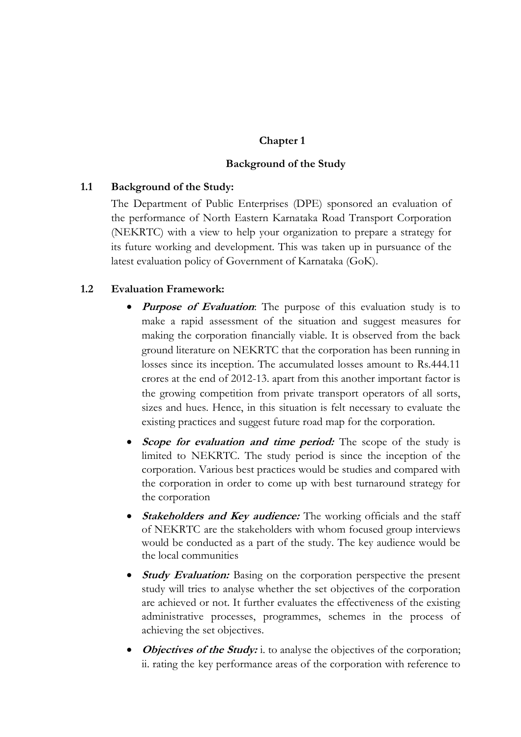## **Chapter 1**

### **Background of the Study**

### **1.1 Background of the Study:**

The Department of Public Enterprises (DPE) sponsored an evaluation of the performance of North Eastern Karnataka Road Transport Corporation (NEKRTC) with a view to help your organization to prepare a strategy for its future working and development. This was taken up in pursuance of the latest evaluation policy of Government of Karnataka (GoK).

### **1.2 Evaluation Framework:**

- **Purpose of Evaluation**: The purpose of this evaluation study is to make a rapid assessment of the situation and suggest measures for making the corporation financially viable. It is observed from the back ground literature on NEKRTC that the corporation has been running in losses since its inception. The accumulated losses amount to Rs.444.11 crores at the end of 2012-13. apart from this another important factor is the growing competition from private transport operators of all sorts, sizes and hues. Hence, in this situation is felt necessary to evaluate the existing practices and suggest future road map for the corporation.
- Scope for evaluation and time period: The scope of the study is limited to NEKRTC. The study period is since the inception of the corporation. Various best practices would be studies and compared with the corporation in order to come up with best turnaround strategy for the corporation
- **Stakeholders and Key audience:** The working officials and the staff of NEKRTC are the stakeholders with whom focused group interviews would be conducted as a part of the study. The key audience would be the local communities
- *Study Evaluation:* Basing on the corporation perspective the present study will tries to analyse whether the set objectives of the corporation are achieved or not. It further evaluates the effectiveness of the existing administrative processes, programmes, schemes in the process of achieving the set objectives.
- **Objectives of the Study:** i. to analyse the objectives of the corporation; ii. rating the key performance areas of the corporation with reference to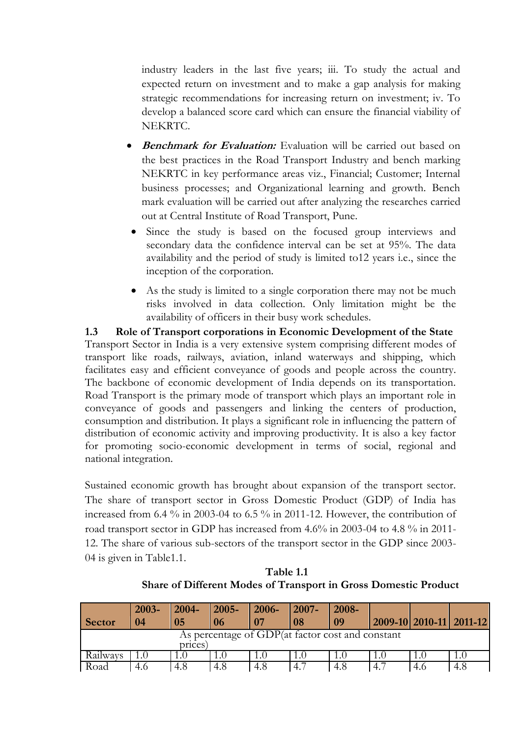industry leaders in the last five years; iii. To study the actual and expected return on investment and to make a gap analysis for making strategic recommendations for increasing return on investment; iv. To develop a balanced score card which can ensure the financial viability of NEKRTC.

- **Benchmark for Evaluation:** Evaluation will be carried out based on the best practices in the Road Transport Industry and bench marking NEKRTC in key performance areas viz., Financial; Customer; Internal business processes; and Organizational learning and growth. Bench mark evaluation will be carried out after analyzing the researches carried out at Central Institute of Road Transport, Pune.
- Since the study is based on the focused group interviews and secondary data the confidence interval can be set at 95%. The data availability and the period of study is limited to12 years i.e., since the inception of the corporation.
- As the study is limited to a single corporation there may not be much risks involved in data collection. Only limitation might be the availability of officers in their busy work schedules.

**1.3 Role of Transport corporations in Economic Development of the State**  Transport Sector in India is a very extensive system comprising different modes of transport like roads, railways, aviation, inland waterways and shipping, which facilitates easy and efficient conveyance of goods and people across the country. The backbone of economic development of India depends on its transportation. Road Transport is the primary mode of transport which plays an important role in conveyance of goods and passengers and linking the centers of production, consumption and distribution. It plays a significant role in influencing the pattern of distribution of economic activity and improving productivity. It is also a key factor for promoting socio-economic development in terms of social, regional and national integration.

Sustained economic growth has brought about expansion of the transport sector. The share of transport sector in Gross Domestic Product (GDP) of India has increased from 6.4 % in 2003-04 to 6.5 % in 2011-12. However, the contribution of road transport sector in GDP has increased from 4.6% in 2003-04 to 4.8 % in 2011- 12. The share of various sub-sectors of the transport sector in the GDP since 2003- 04 is given in Table1.1.

|                                                             | 2003- | $2004 -$ | $\mid$ 2005- | $\mid$ 2006- | $2007 -$ | 2008- |     |     |                         |  |  |
|-------------------------------------------------------------|-------|----------|--------------|--------------|----------|-------|-----|-----|-------------------------|--|--|
| <b>Sector</b>                                               | 04    | 05       | 106          | l 07         | 08       | 09    |     |     | 2009-10 2010-11 2011-12 |  |  |
| As percentage of GDP(at factor cost and constant<br>prices) |       |          |              |              |          |       |     |     |                         |  |  |
| Railways                                                    |       | LU.      |              |              |          |       |     |     |                         |  |  |
| Road                                                        | 4.6   | 4.8      | 4.8          | 4.8          | 4.7      | 4.8   | 4.7 | 4.6 | 4.8                     |  |  |

**Table 1.1 Share of Different Modes of Transport in Gross Domestic Product**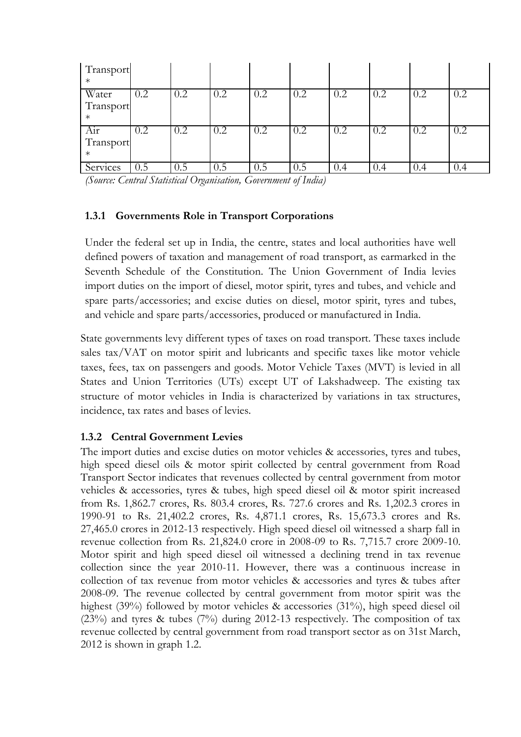| Transport<br>$\ast$ |     |         |     |     |         |     |     |     |     |
|---------------------|-----|---------|-----|-----|---------|-----|-----|-----|-----|
| Water               | 0.2 | 0.2     | 0.2 | 0.2 | 0.2     | 0.2 | 0.2 | 0.2 |     |
| Transport           |     |         |     |     |         |     |     |     |     |
| $\ast$              |     |         |     |     |         |     |     |     |     |
| Air                 | 0.2 | 0.2     | 0.2 | 0.2 | 0.2     | 0.2 | 0.2 | 0.2 | 0.2 |
| Transport           |     |         |     |     |         |     |     |     |     |
| $\ast$              |     |         |     |     |         |     |     |     |     |
| Services            | ს.5 | $0.5\,$ | 0.5 | 0.5 | $0.5\,$ | 0.4 | 0.4 | 0.4 | v.4 |

*(Source: Central Statistical Organisation, Government of India)*

## **1.3.1 Governments Role in Transport Corporations**

Under the federal set up in India, the centre, states and local authorities have well defined powers of taxation and management of road transport, as earmarked in the Seventh Schedule of the Constitution. The Union Government of India levies import duties on the import of diesel, motor spirit, tyres and tubes, and vehicle and spare parts/accessories; and excise duties on diesel, motor spirit, tyres and tubes, and vehicle and spare parts/accessories, produced or manufactured in India.

State governments levy different types of taxes on road transport. These taxes include sales tax/VAT on motor spirit and lubricants and specific taxes like motor vehicle taxes, fees, tax on passengers and goods. Motor Vehicle Taxes (MVT) is levied in all States and Union Territories (UTs) except UT of Lakshadweep. The existing tax structure of motor vehicles in India is characterized by variations in tax structures, incidence, tax rates and bases of levies.

# **1.3.2 Central Government Levies**

The import duties and excise duties on motor vehicles & accessories, tyres and tubes, high speed diesel oils & motor spirit collected by central government from Road Transport Sector indicates that revenues collected by central government from motor vehicles & accessories, tyres & tubes, high speed diesel oil & motor spirit increased from Rs. 1,862.7 crores, Rs. 803.4 crores, Rs. 727.6 crores and Rs. 1,202.3 crores in 1990-91 to Rs. 21,402.2 crores, Rs. 4,871.1 crores, Rs. 15,673.3 crores and Rs. 27,465.0 crores in 2012-13 respectively. High speed diesel oil witnessed a sharp fall in revenue collection from Rs. 21,824.0 crore in 2008-09 to Rs. 7,715.7 crore 2009-10. Motor spirit and high speed diesel oil witnessed a declining trend in tax revenue collection since the year 2010-11. However, there was a continuous increase in collection of tax revenue from motor vehicles & accessories and tyres & tubes after 2008-09. The revenue collected by central government from motor spirit was the highest (39%) followed by motor vehicles & accessories (31%), high speed diesel oil (23%) and tyres & tubes (7%) during 2012-13 respectively. The composition of tax revenue collected by central government from road transport sector as on 31st March, 2012 is shown in graph 1.2.